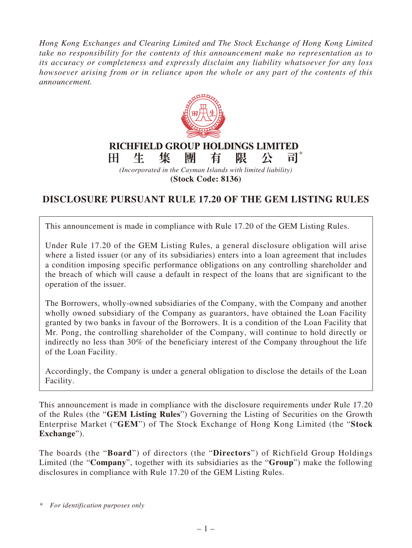*Hong Kong Exchanges and Clearing Limited and The Stock Exchange of Hong Kong Limited take no responsibility for the contents of this announcement make no representation as to its accuracy or completeness and expressly disclaim any liability whatsoever for any loss howsoever arising from or in reliance upon the whole or any part of the contents of this announcement.*



**(Stock Code: 8136)**

## **DISCLOSURE PURSUANT RULE 17.20 OF THE GEM LISTING RULES**

This announcement is made in compliance with Rule 17.20 of the GEM Listing Rules.

Under Rule 17.20 of the GEM Listing Rules, a general disclosure obligation will arise where a listed issuer (or any of its subsidiaries) enters into a loan agreement that includes a condition imposing specific performance obligations on any controlling shareholder and the breach of which will cause a default in respect of the loans that are significant to the operation of the issuer.

The Borrowers, wholly-owned subsidiaries of the Company, with the Company and another wholly owned subsidiary of the Company as guarantors, have obtained the Loan Facility granted by two banks in favour of the Borrowers. It is a condition of the Loan Facility that Mr. Pong, the controlling shareholder of the Company, will continue to hold directly or indirectly no less than 30% of the beneficiary interest of the Company throughout the life of the Loan Facility.

Accordingly, the Company is under a general obligation to disclose the details of the Loan Facility.

This announcement is made in compliance with the disclosure requirements under Rule 17.20 of the Rules (the "**GEM Listing Rules**") Governing the Listing of Securities on the Growth Enterprise Market ("**GEM**") of The Stock Exchange of Hong Kong Limited (the "**Stock Exchange**").

The boards (the "**Board**") of directors (the "**Directors**") of Richfield Group Holdings Limited (the "**Company**", together with its subsidiaries as the "**Group**") make the following disclosures in compliance with Rule 17.20 of the GEM Listing Rules.

*\* For identification purposes only*